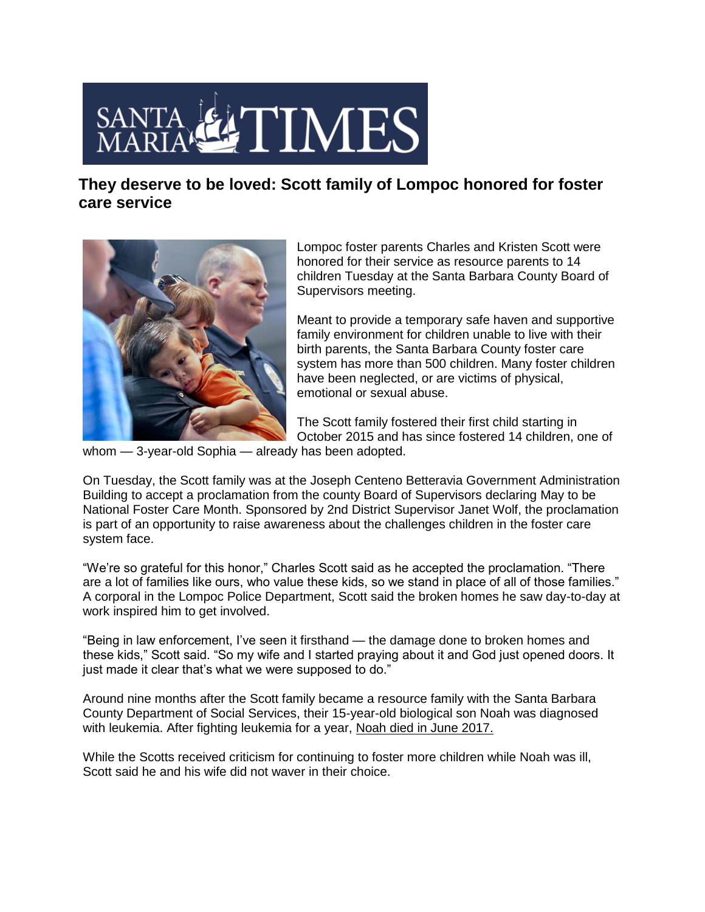

**They deserve to be loved: Scott family of Lompoc honored for foster care service**



Lompoc foster parents Charles and Kristen Scott were honored for their service as resource parents to 14 children Tuesday at the Santa Barbara County Board of Supervisors meeting.

Meant to provide a temporary safe haven and supportive family environment for children unable to live with their birth parents, the Santa Barbara County foster care system has more than 500 children. Many foster children have been neglected, or are victims of physical, emotional or sexual abuse.

The Scott family fostered their first child starting in October 2015 and has since fostered 14 children, one of

whom — 3-year-old Sophia — already has been adopted.

On Tuesday, the Scott family was at the Joseph Centeno Betteravia Government Administration Building to accept a proclamation from the county Board of Supervisors declaring May to be National Foster Care Month. Sponsored by 2nd District Supervisor Janet Wolf, the proclamation is part of an opportunity to raise awareness about the challenges children in the foster care system face.

"We're so grateful for this honor," Charles Scott said as he accepted the proclamation. "There are a lot of families like ours, who value these kids, so we stand in place of all of those families." A corporal in the Lompoc Police Department, Scott said the broken homes he saw day-to-day at work inspired him to get involved.

"Being in law enforcement, I've seen it firsthand — the damage done to broken homes and these kids," Scott said. "So my wife and I started praying about it and God just opened doors. It just made it clear that's what we were supposed to do."

Around nine months after the Scott family became a resource family with the Santa Barbara County Department of Social Services, their 15-year-old biological son Noah was diagnosed with leukemia. After fighting leukemia for a year, [Noah died in June 2017.](http://santamariatimes.com/news/local/lompoc-teen-noah-scott-loses-battle-with-leukemia/article_b47bfc39-1fe3-5e7b-b43b-a863397cb2dd.html)

While the Scotts received criticism for continuing to foster more children while Noah was ill, Scott said he and his wife did not waver in their choice.